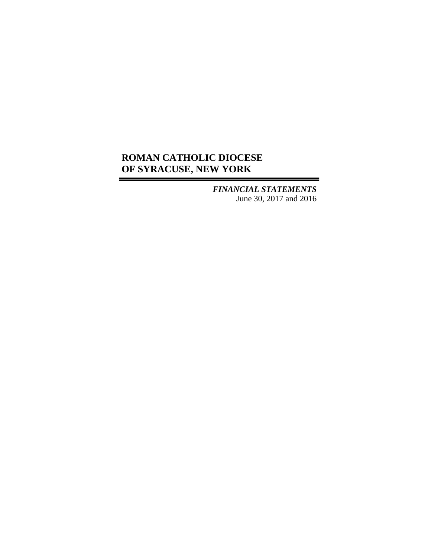*FINANCIAL STATEMENTS* June 30, 2017 and 2016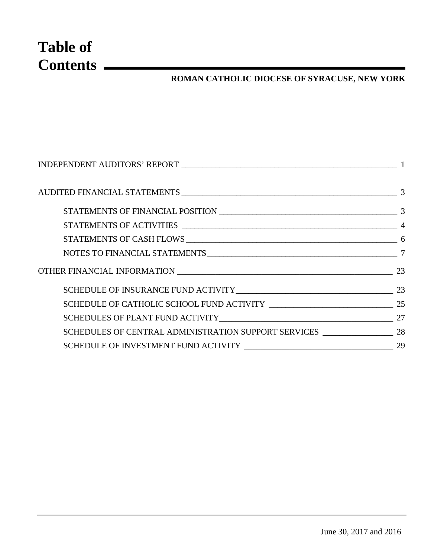# **Table of Contents**

# **ROMAN CATHOLIC DIOCESE OF SYRACUSE, NEW YORK**

| NOTES TO FINANCIAL STATEMENTS 7 7                                            |  |
|------------------------------------------------------------------------------|--|
|                                                                              |  |
| SCHEDULE OF INSURANCE FUND ACTIVITY 23                                       |  |
|                                                                              |  |
|                                                                              |  |
| SCHEDULES OF CENTRAL ADMINISTRATION SUPPORT SERVICES ____________________ 28 |  |
|                                                                              |  |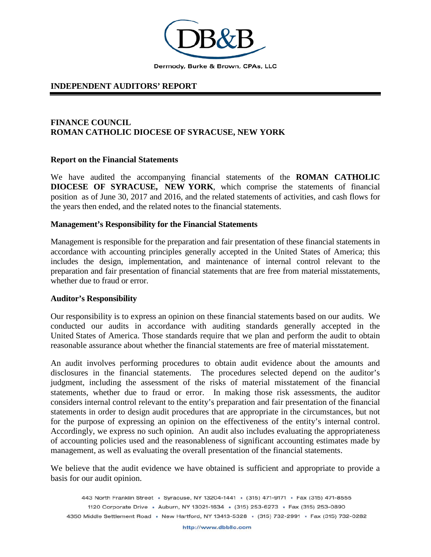

#### **INDEPENDENT AUDITORS' REPORT**

## **FINANCE COUNCIL ROMAN CATHOLIC DIOCESE OF SYRACUSE, NEW YORK**

#### **Report on the Financial Statements**

We have audited the accompanying financial statements of the **ROMAN CATHOLIC DIOCESE OF SYRACUSE, NEW YORK**, which comprise the statements of financial position as of June 30, 2017 and 2016, and the related statements of activities, and cash flows for the years then ended, and the related notes to the financial statements.

#### **Management's Responsibility for the Financial Statements**

Management is responsible for the preparation and fair presentation of these financial statements in accordance with accounting principles generally accepted in the United States of America; this includes the design, implementation, and maintenance of internal control relevant to the preparation and fair presentation of financial statements that are free from material misstatements, whether due to fraud or error.

#### **Auditor's Responsibility**

Our responsibility is to express an opinion on these financial statements based on our audits. We conducted our audits in accordance with auditing standards generally accepted in the United States of America. Those standards require that we plan and perform the audit to obtain reasonable assurance about whether the financial statements are free of material misstatement.

An audit involves performing procedures to obtain audit evidence about the amounts and disclosures in the financial statements. The procedures selected depend on the auditor's judgment, including the assessment of the risks of material misstatement of the financial statements, whether due to fraud or error. In making those risk assessments, the auditor considers internal control relevant to the entity's preparation and fair presentation of the financial statements in order to design audit procedures that are appropriate in the circumstances, but not for the purpose of expressing an opinion on the effectiveness of the entity's internal control. Accordingly, we express no such opinion. An audit also includes evaluating the appropriateness of accounting policies used and the reasonableness of significant accounting estimates made by management, as well as evaluating the overall presentation of the financial statements.

We believe that the audit evidence we have obtained is sufficient and appropriate to provide a basis for our audit opinion.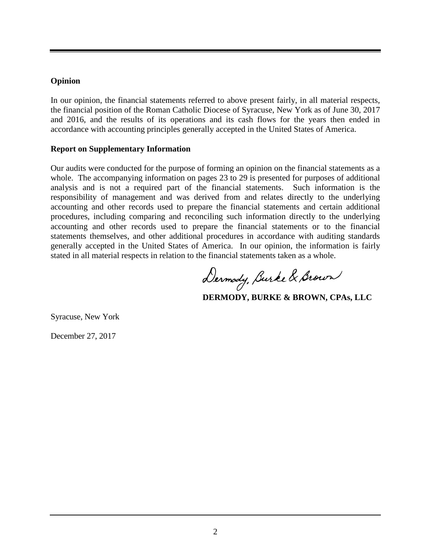## **Opinion**

In our opinion, the financial statements referred to above present fairly, in all material respects, the financial position of the Roman Catholic Diocese of Syracuse, New York as of June 30, 2017 and 2016, and the results of its operations and its cash flows for the years then ended in accordance with accounting principles generally accepted in the United States of America.

#### **Report on Supplementary Information**

Our audits were conducted for the purpose of forming an opinion on the financial statements as a whole. The accompanying information on pages 23 to 29 is presented for purposes of additional analysis and is not a required part of the financial statements. Such information is the responsibility of management and was derived from and relates directly to the underlying accounting and other records used to prepare the financial statements and certain additional procedures, including comparing and reconciling such information directly to the underlying accounting and other records used to prepare the financial statements or to the financial statements themselves, and other additional procedures in accordance with auditing standards generally accepted in the United States of America. In our opinion, the information is fairly stated in all material respects in relation to the financial statements taken as a whole.

Dermody, Burke & Brown

**DERMODY, BURKE & BROWN, CPAs, LLC**

Syracuse, New York

December 27, 2017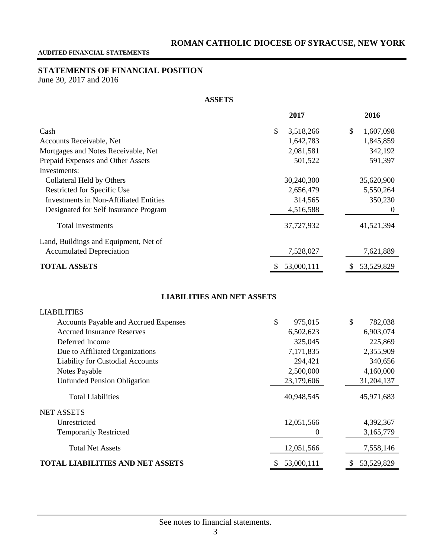## **STATEMENTS OF FINANCIAL POSITION**

June 30, 2017 and 2016

#### **ASSETS**

| 1,607,098  |
|------------|
| 1,845,859  |
| 342,192    |
| 591,397    |
|            |
| 35,620,900 |
| 5,550,264  |
| 350,230    |
| $\theta$   |
| 41,521,394 |
|            |
| 7,621,889  |
| 53,529,829 |
|            |

#### **LIABILITIES AND NET ASSETS**

| <b>LIABILITIES</b>                           |                 |               |
|----------------------------------------------|-----------------|---------------|
| <b>Accounts Payable and Accrued Expenses</b> | \$<br>975,015   | \$<br>782,038 |
| <b>Accrued Insurance Reserves</b>            | 6,502,623       | 6,903,074     |
| Deferred Income                              | 325,045         | 225,869       |
| Due to Affiliated Organizations              | 7,171,835       | 2,355,909     |
| <b>Liability for Custodial Accounts</b>      | 294,421         | 340,656       |
| Notes Payable                                | 2,500,000       | 4,160,000     |
| <b>Unfunded Pension Obligation</b>           | 23,179,606      | 31,204,137    |
| <b>Total Liabilities</b>                     | 40,948,545      | 45,971,683    |
| <b>NET ASSETS</b>                            |                 |               |
| Unrestricted                                 | 12,051,566      | 4,392,367     |
| <b>Temporarily Restricted</b>                | 0               | 3,165,779     |
| <b>Total Net Assets</b>                      | 12,051,566      | 7,558,146     |
| <b>TOTAL LIABILITIES AND NET ASSETS</b>      | 53,000,111<br>S | 53,529,829    |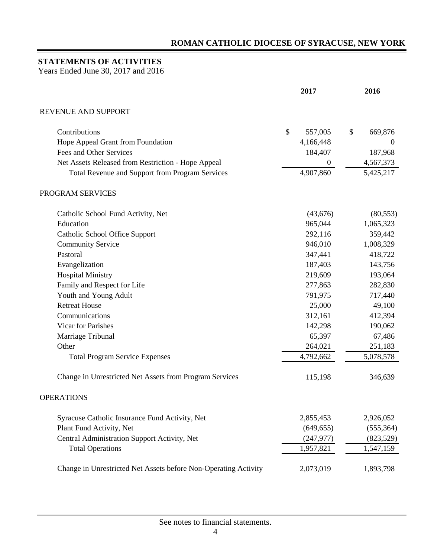## **STATEMENTS OF ACTIVITIES**

Years Ended June 30, 2017 and 2016

|                                                                 | 2017           | 2016          |
|-----------------------------------------------------------------|----------------|---------------|
| REVENUE AND SUPPORT                                             |                |               |
| Contributions                                                   | \$<br>557,005  | \$<br>669,876 |
| Hope Appeal Grant from Foundation                               | 4,166,448      | $\theta$      |
| Fees and Other Services                                         | 184,407        | 187,968       |
| Net Assets Released from Restriction - Hope Appeal              | $\overline{0}$ | 4,567,373     |
| Total Revenue and Support from Program Services                 | 4,907,860      | 5,425,217     |
| PROGRAM SERVICES                                                |                |               |
| Catholic School Fund Activity, Net                              | (43,676)       | (80, 553)     |
| Education                                                       | 965,044        | 1,065,323     |
| Catholic School Office Support                                  | 292,116        | 359,442       |
| <b>Community Service</b>                                        | 946,010        | 1,008,329     |
| Pastoral                                                        | 347,441        | 418,722       |
| Evangelization                                                  | 187,403        | 143,756       |
| <b>Hospital Ministry</b>                                        | 219,609        | 193,064       |
| Family and Respect for Life                                     | 277,863        | 282,830       |
| Youth and Young Adult                                           | 791,975        | 717,440       |
| <b>Retreat House</b>                                            | 25,000         | 49,100        |
| Communications                                                  | 312,161        | 412,394       |
| <b>Vicar for Parishes</b>                                       | 142,298        | 190,062       |
| Marriage Tribunal                                               | 65,397         | 67,486        |
| Other                                                           | 264,021        | 251,183       |
| <b>Total Program Service Expenses</b>                           | 4,792,662      | 5,078,578     |
| Change in Unrestricted Net Assets from Program Services         | 115,198        | 346,639       |
| <b>OPERATIONS</b>                                               |                |               |
| Syracuse Catholic Insurance Fund Activity, Net                  | 2,855,453      | 2,926,052     |
| Plant Fund Activity, Net                                        | (649, 655)     | (555, 364)    |
| Central Administration Support Activity, Net                    | (247, 977)     | (823, 529)    |
| <b>Total Operations</b>                                         | 1,957,821      | 1,547,159     |
| Change in Unrestricted Net Assets before Non-Operating Activity | 2,073,019      | 1,893,798     |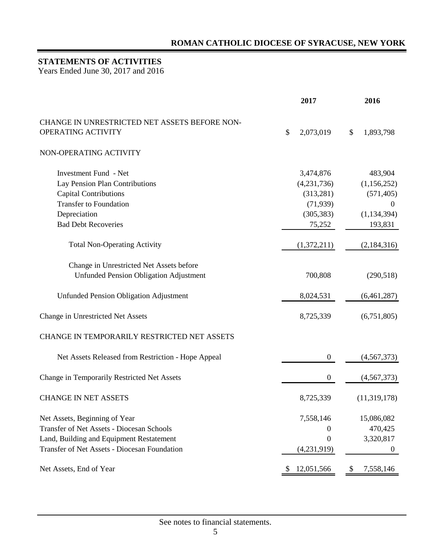## **STATEMENTS OF ACTIVITIES**

Years Ended June 30, 2017 and 2016

|                                                    | 2017             | 2016             |
|----------------------------------------------------|------------------|------------------|
| CHANGE IN UNRESTRICTED NET ASSETS BEFORE NON-      |                  |                  |
| OPERATING ACTIVITY                                 | \$<br>2,073,019  | 1,893,798<br>\$  |
| NON-OPERATING ACTIVITY                             |                  |                  |
| <b>Investment Fund - Net</b>                       | 3,474,876        | 483,904          |
| Lay Pension Plan Contributions                     | (4,231,736)      | (1,156,252)      |
| <b>Capital Contributions</b>                       | (313, 281)       | (571, 405)       |
| <b>Transfer to Foundation</b>                      | (71, 939)        | $\boldsymbol{0}$ |
| Depreciation                                       | (305, 383)       | (1, 134, 394)    |
| <b>Bad Debt Recoveries</b>                         | 75,252           | 193,831          |
| <b>Total Non-Operating Activity</b>                | (1,372,211)      | (2,184,316)      |
| Change in Unrestricted Net Assets before           |                  |                  |
| <b>Unfunded Pension Obligation Adjustment</b>      | 700,808          | (290,518)        |
| Unfunded Pension Obligation Adjustment             | 8,024,531        | (6,461,287)      |
| Change in Unrestricted Net Assets                  | 8,725,339        | (6,751,805)      |
| CHANGE IN TEMPORARILY RESTRICTED NET ASSETS        |                  |                  |
| Net Assets Released from Restriction - Hope Appeal | $\boldsymbol{0}$ | (4, 567, 373)    |
| Change in Temporarily Restricted Net Assets        | $\boldsymbol{0}$ | (4, 567, 373)    |
| <b>CHANGE IN NET ASSETS</b>                        | 8,725,339        | (11,319,178)     |
| Net Assets, Beginning of Year                      | 7,558,146        | 15,086,082       |
| <b>Transfer of Net Assets - Diocesan Schools</b>   | $\boldsymbol{0}$ | 470,425          |
| Land, Building and Equipment Restatement           | $\boldsymbol{0}$ | 3,320,817        |
| Transfer of Net Assets - Diocesan Foundation       | (4,231,919)      | $\overline{0}$   |
| Net Assets, End of Year                            | 12,051,566       | 7,558,146<br>\$  |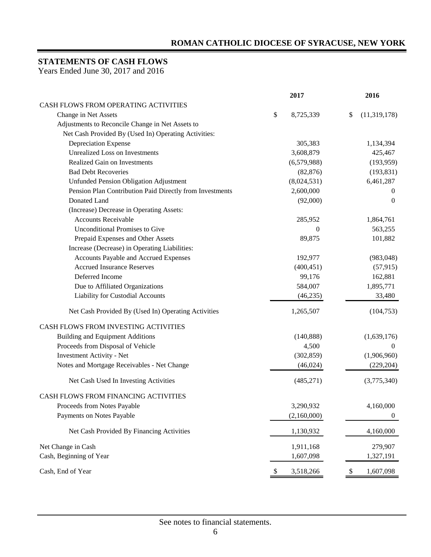## **STATEMENTS OF CASH FLOWS**

Years Ended June 30, 2017 and 2016

|                                                          | 2017            | 2016               |
|----------------------------------------------------------|-----------------|--------------------|
| CASH FLOWS FROM OPERATING ACTIVITIES                     |                 |                    |
| Change in Net Assets                                     | \$<br>8,725,339 | \$<br>(11,319,178) |
| Adjustments to Reconcile Change in Net Assets to         |                 |                    |
| Net Cash Provided By (Used In) Operating Activities:     |                 |                    |
| Depreciation Expense                                     | 305,383         | 1,134,394          |
| <b>Unrealized Loss on Investments</b>                    | 3,608,879       | 425,467            |
| <b>Realized Gain on Investments</b>                      | (6,579,988)     | (193, 959)         |
| <b>Bad Debt Recoveries</b>                               | (82, 876)       | (193, 831)         |
| <b>Unfunded Pension Obligation Adjustment</b>            | (8,024,531)     | 6,461,287          |
| Pension Plan Contribution Paid Directly from Investments | 2,600,000       | $\theta$           |
| Donated Land                                             | (92,000)        | $\boldsymbol{0}$   |
| (Increase) Decrease in Operating Assets:                 |                 |                    |
| <b>Accounts Receivable</b>                               | 285,952         | 1,864,761          |
| <b>Unconditional Promises to Give</b>                    | $\Omega$        | 563,255            |
| Prepaid Expenses and Other Assets                        | 89,875          | 101,882            |
| Increase (Decrease) in Operating Liabilities:            |                 |                    |
| Accounts Payable and Accrued Expenses                    | 192,977         | (983, 048)         |
| <b>Accrued Insurance Reserves</b>                        | (400, 451)      | (57, 915)          |
| Deferred Income                                          | 99,176          | 162,881            |
| Due to Affiliated Organizations                          | 584,007         | 1,895,771          |
| Liability for Custodial Accounts                         | (46, 235)       | 33,480             |
| Net Cash Provided By (Used In) Operating Activities      | 1,265,507       | (104, 753)         |
| CASH FLOWS FROM INVESTING ACTIVITIES                     |                 |                    |
| <b>Building and Equipment Additions</b>                  | (140, 888)      | (1,639,176)        |
| Proceeds from Disposal of Vehicle                        | 4,500           | $\Omega$           |
| <b>Investment Activity - Net</b>                         | (302, 859)      | (1,906,960)        |
| Notes and Mortgage Receivables - Net Change              | (46, 024)       | (229, 204)         |
| Net Cash Used In Investing Activities                    | (485, 271)      | (3,775,340)        |
| CASH FLOWS FROM FINANCING ACTIVITIES                     |                 |                    |
| Proceeds from Notes Payable                              | 3,290,932       | 4,160,000          |
| Payments on Notes Payable                                | (2,160,000)     | $\boldsymbol{0}$   |
| Net Cash Provided By Financing Activities                | 1,130,932       | 4,160,000          |
| Net Change in Cash                                       | 1,911,168       | 279,907            |
| Cash, Beginning of Year                                  | 1,607,098       | 1,327,191          |
| Cash, End of Year                                        | \$<br>3,518,266 | \$<br>1,607,098    |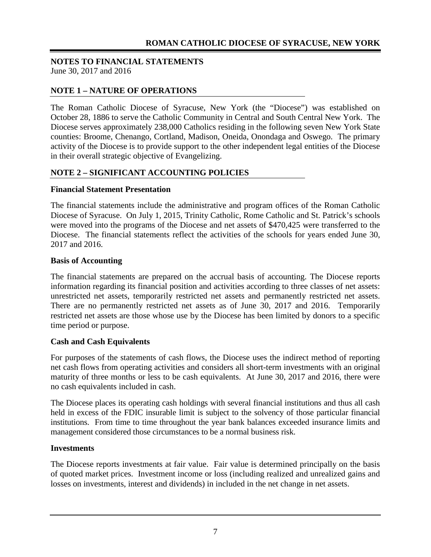## **NOTE 1 – NATURE OF OPERATIONS**

The Roman Catholic Diocese of Syracuse, New York (the "Diocese") was established on October 28, 1886 to serve the Catholic Community in Central and South Central New York. The Diocese serves approximately 238,000 Catholics residing in the following seven New York State counties: Broome, Chenango, Cortland, Madison, Oneida, Onondaga and Oswego. The primary activity of the Diocese is to provide support to the other independent legal entities of the Diocese in their overall strategic objective of Evangelizing.

## **NOTE 2 – SIGNIFICANT ACCOUNTING POLICIES**

## **Financial Statement Presentation**

The financial statements include the administrative and program offices of the Roman Catholic Diocese of Syracuse. On July 1, 2015, Trinity Catholic, Rome Catholic and St. Patrick's schools were moved into the programs of the Diocese and net assets of \$470,425 were transferred to the Diocese. The financial statements reflect the activities of the schools for years ended June 30, 2017 and 2016.

## **Basis of Accounting**

The financial statements are prepared on the accrual basis of accounting. The Diocese reports information regarding its financial position and activities according to three classes of net assets: unrestricted net assets, temporarily restricted net assets and permanently restricted net assets. There are no permanently restricted net assets as of June 30, 2017 and 2016. Temporarily restricted net assets are those whose use by the Diocese has been limited by donors to a specific time period or purpose.

## **Cash and Cash Equivalents**

For purposes of the statements of cash flows, the Diocese uses the indirect method of reporting net cash flows from operating activities and considers all short-term investments with an original maturity of three months or less to be cash equivalents. At June 30, 2017 and 2016, there were no cash equivalents included in cash.

The Diocese places its operating cash holdings with several financial institutions and thus all cash held in excess of the FDIC insurable limit is subject to the solvency of those particular financial institutions. From time to time throughout the year bank balances exceeded insurance limits and management considered those circumstances to be a normal business risk.

#### **Investments**

The Diocese reports investments at fair value. Fair value is determined principally on the basis of quoted market prices. Investment income or loss (including realized and unrealized gains and losses on investments, interest and dividends) in included in the net change in net assets.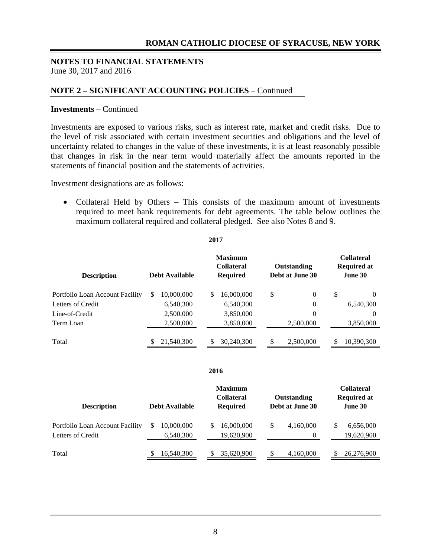#### **NOTES TO FINANCIAL STATEMENTS** June 30, 2017 and 2016

## **NOTE 2 – SIGNIFICANT ACCOUNTING POLICIES** – Continued

#### **Investments** – Continued

Investments are exposed to various risks, such as interest rate, market and credit risks. Due to the level of risk associated with certain investment securities and obligations and the level of uncertainty related to changes in the value of these investments, it is at least reasonably possible that changes in risk in the near term would materially affect the amounts reported in the statements of financial position and the statements of activities.

Investment designations are as follows:

• Collateral Held by Others – This consists of the maximum amount of investments required to meet bank requirements for debt agreements. The table below outlines the maximum collateral required and collateral pledged. See also Notes 8 and 9.

**2017**

| <b>Description</b>              | Debt Available   | <b>Maximum</b><br><b>Collateral</b><br><b>Required</b> | Outstanding<br>Debt at June 30 | <b>Collateral</b><br><b>Required at</b><br>June 30 |
|---------------------------------|------------------|--------------------------------------------------------|--------------------------------|----------------------------------------------------|
| Portfolio Loan Account Facility | \$<br>10,000,000 | \$<br>16,000,000                                       | \$<br>$\Omega$                 | \$<br>$\Omega$                                     |
| Letters of Credit               | 6,540,300        | 6,540,300                                              | $\mathbf{0}$                   | 6,540,300                                          |
| Line-of-Credit                  | 2,500,000        | 3,850,000                                              | $\mathbf{0}$                   | $\overline{0}$                                     |
| Term Loan                       | 2,500,000        | 3,850,000                                              | 2,500,000                      | 3,850,000                                          |
| Total                           | 21,540,300       | \$<br>30.240.300                                       | \$<br>2,500,000                | \$<br>10,390,300                                   |

**2016**

| <b>Description</b>                                   | Debt Available          | <b>Maximum</b><br><b>Collateral</b><br><b>Required</b> | Outstanding<br>Debt at June 30 | <b>Collateral</b><br><b>Required at</b><br>June 30 |
|------------------------------------------------------|-------------------------|--------------------------------------------------------|--------------------------------|----------------------------------------------------|
| Portfolio Loan Account Facility<br>Letters of Credit | 10,000,000<br>6,540,300 | 16,000,000<br>S<br>19,620,900                          | \$<br>4,160,000                | 6,656,000<br>19,620,900                            |
| Total                                                | 16,540,300              | 35,620,900                                             | \$<br>4,160,000                | 26,276,900                                         |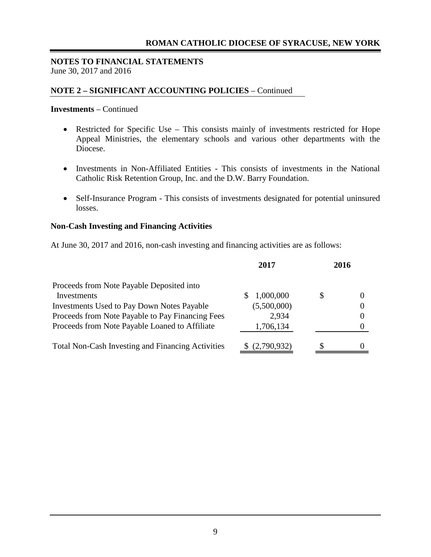#### **NOTES TO FINANCIAL STATEMENTS** June 30, 2017 and 2016

## **NOTE 2 – SIGNIFICANT ACCOUNTING POLICIES** – Continued

#### **Investments** – Continued

- Restricted for Specific Use This consists mainly of investments restricted for Hope Appeal Ministries, the elementary schools and various other departments with the Diocese.
- Investments in Non-Affiliated Entities This consists of investments in the National Catholic Risk Retention Group, Inc. and the D.W. Barry Foundation.
- Self-Insurance Program This consists of investments designated for potential uninsured losses.

## **Non-Cash Investing and Financing Activities**

At June 30, 2017 and 2016, non-cash investing and financing activities are as follows:

|                                                          | 2017           | 2016    |
|----------------------------------------------------------|----------------|---------|
| Proceeds from Note Payable Deposited into                |                |         |
| Investments                                              | 1,000,000<br>S | \$<br>0 |
| <b>Investments Used to Pay Down Notes Payable</b>        | (5,500,000)    | 0       |
| Proceeds from Note Payable to Pay Financing Fees         | 2,934          | 0       |
| Proceeds from Note Payable Loaned to Affiliate           | 1,706,134      |         |
| <b>Total Non-Cash Investing and Financing Activities</b> | (2,790,932)    | \$      |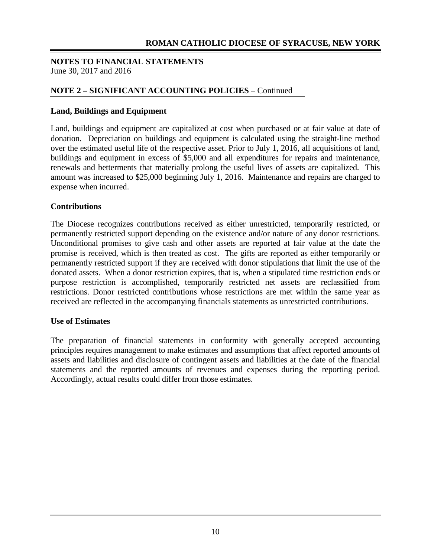## **NOTE 2 – SIGNIFICANT ACCOUNTING POLICIES** – Continued

## **Land, Buildings and Equipment**

Land, buildings and equipment are capitalized at cost when purchased or at fair value at date of donation. Depreciation on buildings and equipment is calculated using the straight-line method over the estimated useful life of the respective asset. Prior to July 1, 2016, all acquisitions of land, buildings and equipment in excess of \$5,000 and all expenditures for repairs and maintenance, renewals and betterments that materially prolong the useful lives of assets are capitalized. This amount was increased to \$25,000 beginning July 1, 2016. Maintenance and repairs are charged to expense when incurred.

## **Contributions**

The Diocese recognizes contributions received as either unrestricted, temporarily restricted, or permanently restricted support depending on the existence and/or nature of any donor restrictions. Unconditional promises to give cash and other assets are reported at fair value at the date the promise is received, which is then treated as cost. The gifts are reported as either temporarily or permanently restricted support if they are received with donor stipulations that limit the use of the donated assets. When a donor restriction expires, that is, when a stipulated time restriction ends or purpose restriction is accomplished, temporarily restricted net assets are reclassified from restrictions. Donor restricted contributions whose restrictions are met within the same year as received are reflected in the accompanying financials statements as unrestricted contributions.

#### **Use of Estimates**

The preparation of financial statements in conformity with generally accepted accounting principles requires management to make estimates and assumptions that affect reported amounts of assets and liabilities and disclosure of contingent assets and liabilities at the date of the financial statements and the reported amounts of revenues and expenses during the reporting period. Accordingly, actual results could differ from those estimates.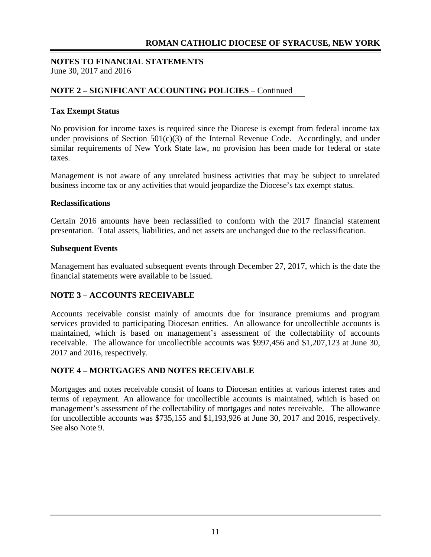#### **NOTES TO FINANCIAL STATEMENTS** June 30, 2017 and 2016

## **NOTE 2 – SIGNIFICANT ACCOUNTING POLICIES** – Continued

#### **Tax Exempt Status**

No provision for income taxes is required since the Diocese is exempt from federal income tax under provisions of Section  $501(c)(3)$  of the Internal Revenue Code. Accordingly, and under similar requirements of New York State law, no provision has been made for federal or state taxes.

Management is not aware of any unrelated business activities that may be subject to unrelated business income tax or any activities that would jeopardize the Diocese's tax exempt status.

#### **Reclassifications**

Certain 2016 amounts have been reclassified to conform with the 2017 financial statement presentation. Total assets, liabilities, and net assets are unchanged due to the reclassification.

#### **Subsequent Events**

Management has evaluated subsequent events through December 27, 2017, which is the date the financial statements were available to be issued.

#### **NOTE 3 – ACCOUNTS RECEIVABLE**

Accounts receivable consist mainly of amounts due for insurance premiums and program services provided to participating Diocesan entities. An allowance for uncollectible accounts is maintained, which is based on management's assessment of the collectability of accounts receivable. The allowance for uncollectible accounts was \$997,456 and \$1,207,123 at June 30, 2017 and 2016, respectively.

#### **NOTE 4 – MORTGAGES AND NOTES RECEIVABLE**

Mortgages and notes receivable consist of loans to Diocesan entities at various interest rates and terms of repayment. An allowance for uncollectible accounts is maintained, which is based on management's assessment of the collectability of mortgages and notes receivable. The allowance for uncollectible accounts was \$735,155 and \$1,193,926 at June 30, 2017 and 2016, respectively. See also Note 9.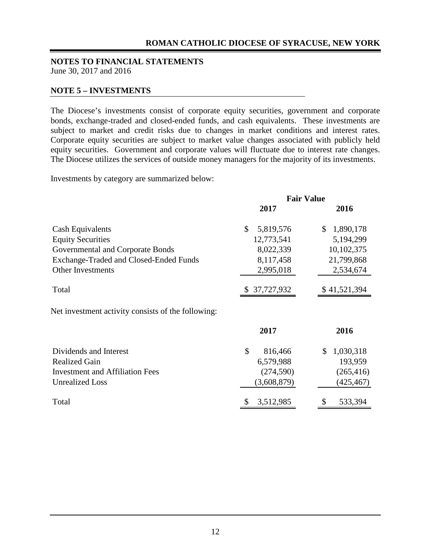## **NOTE 5 – INVESTMENTS**

The Diocese's investments consist of corporate equity securities, government and corporate bonds, exchange-traded and closed-ended funds, and cash equivalents. These investments are subject to market and credit risks due to changes in market conditions and interest rates. Corporate equity securities are subject to market value changes associated with publicly held equity securities. Government and corporate values will fluctuate due to interest rate changes. The Diocese utilizes the services of outside money managers for the majority of its investments.

Investments by category are summarized below:

|                                                    | <b>Fair Value</b> |                           |  |
|----------------------------------------------------|-------------------|---------------------------|--|
|                                                    | 2017              | 2016                      |  |
| <b>Cash Equivalents</b>                            | \$<br>5,819,576   | $\mathbb{S}$<br>1,890,178 |  |
| <b>Equity Securities</b>                           | 12,773,541        | 5,194,299                 |  |
| Governmental and Corporate Bonds                   | 8,022,339         | 10,102,375                |  |
| Exchange-Traded and Closed-Ended Funds             | 8,117,458         | 21,799,868                |  |
| <b>Other Investments</b>                           | 2,995,018         | 2,534,674                 |  |
| Total                                              | \$37,727,932      | \$41,521,394              |  |
| Net investment activity consists of the following: |                   |                           |  |
|                                                    | 2017              | 2016                      |  |
| Dividends and Interest                             | \$<br>816,466     | 1,030,318<br>\$           |  |
| <b>Realized Gain</b>                               | 6,579,988         | 193,959                   |  |
| <b>Investment and Affiliation Fees</b>             | (274, 590)        | (265, 416)                |  |
| <b>Unrealized Loss</b>                             | (3,608,879)       | (425, 467)                |  |
| Total                                              | 3,512,985         | 533,394                   |  |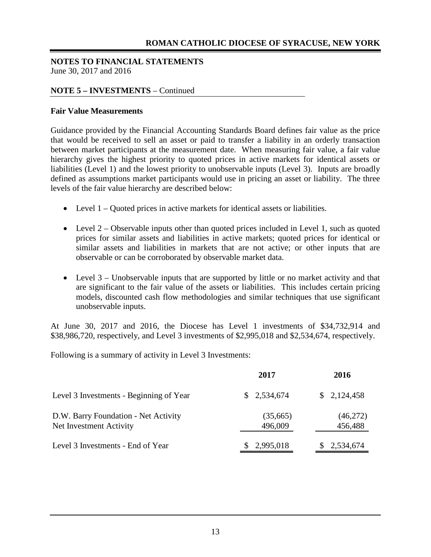#### **NOTES TO FINANCIAL STATEMENTS** June 30, 2017 and 2016

## **NOTE 5 – INVESTMENTS** – Continued

#### **Fair Value Measurements**

Guidance provided by the Financial Accounting Standards Board defines fair value as the price that would be received to sell an asset or paid to transfer a liability in an orderly transaction between market participants at the measurement date. When measuring fair value, a fair value hierarchy gives the highest priority to quoted prices in active markets for identical assets or liabilities (Level 1) and the lowest priority to unobservable inputs (Level 3). Inputs are broadly defined as assumptions market participants would use in pricing an asset or liability. The three levels of the fair value hierarchy are described below:

- Level 1 Quoted prices in active markets for identical assets or liabilities.
- Level 2 Observable inputs other than quoted prices included in Level 1, such as quoted prices for similar assets and liabilities in active markets; quoted prices for identical or similar assets and liabilities in markets that are not active; or other inputs that are observable or can be corroborated by observable market data.
- Level 3 Unobservable inputs that are supported by little or no market activity and that are significant to the fair value of the assets or liabilities. This includes certain pricing models, discounted cash flow methodologies and similar techniques that use significant unobservable inputs.

At June 30, 2017 and 2016, the Diocese has Level 1 investments of \$34,732,914 and \$38,986,720, respectively, and Level 3 investments of \$2,995,018 and \$2,534,674, respectively.

Following is a summary of activity in Level 3 Investments:

|                                                                 | 2017                | 2016                |
|-----------------------------------------------------------------|---------------------|---------------------|
| Level 3 Investments - Beginning of Year                         | \$2,534,674         | \$2,124,458         |
| D.W. Barry Foundation - Net Activity<br>Net Investment Activity | (35,665)<br>496,009 | (46,272)<br>456,488 |
| Level 3 Investments - End of Year                               | 2,995,018           | 2,534,674           |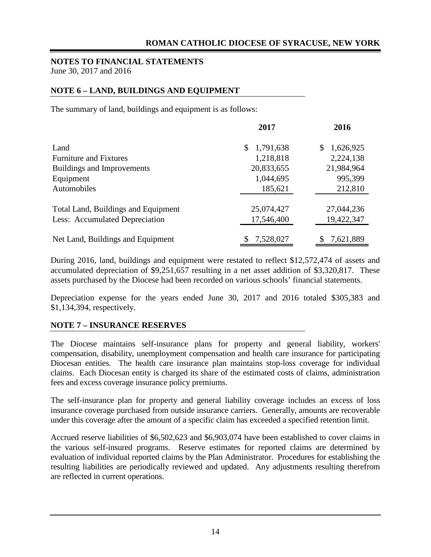## **NOTE 6 – LAND, BUILDINGS AND EQUIPMENT**

The summary of land, buildings and equipment is as follows:

|                                     | 2017            | 2016            |
|-------------------------------------|-----------------|-----------------|
| Land                                | S.<br>1,791,638 | 1,626,925<br>\$ |
| <b>Furniture and Fixtures</b>       | 1,218,818       | 2,224,138       |
| <b>Buildings and Improvements</b>   | 20,833,655      | 21,984,964      |
| Equipment                           | 1,044,695       | 995,399         |
| Automobiles                         | 185,621         | 212,810         |
| Total Land, Buildings and Equipment | 25,074,427      | 27,044,236      |
| Less: Accumulated Depreciation      | 17,546,400      | 19,422,347      |
| Net Land, Buildings and Equipment   | 7,528,027       | 7,621,889       |

During 2016, land, buildings and equipment were restated to reflect \$12,572,474 of assets and accumulated depreciation of \$9,251,657 resulting in a net asset addition of \$3,320,817. These assets purchased by the Diocese had been recorded on various schools' financial statements.

Depreciation expense for the years ended June 30, 2017 and 2016 totaled \$305,383 and \$1,134,394, respectively.

## **NOTE 7 – INSURANCE RESERVES**

The Diocese maintains self-insurance plans for property and general liability, workers' compensation, disability, unemployment compensation and health care insurance for participating Diocesan entities. The health care insurance plan maintains stop-loss coverage for individual claims. Each Diocesan entity is charged its share of the estimated costs of claims, administration fees and excess coverage insurance policy premiums.

The self-insurance plan for property and general liability coverage includes an excess of loss insurance coverage purchased from outside insurance carriers. Generally, amounts are recoverable under this coverage after the amount of a specific claim has exceeded a specified retention limit.

Accrued reserve liabilities of \$6,502,623 and \$6,903,074 have been established to cover claims in the various self-insured programs. Reserve estimates for reported claims are determined by evaluation of individual reported claims by the Plan Administrator. Procedures for establishing the resulting liabilities are periodically reviewed and updated. Any adjustments resulting therefrom are reflected in current operations.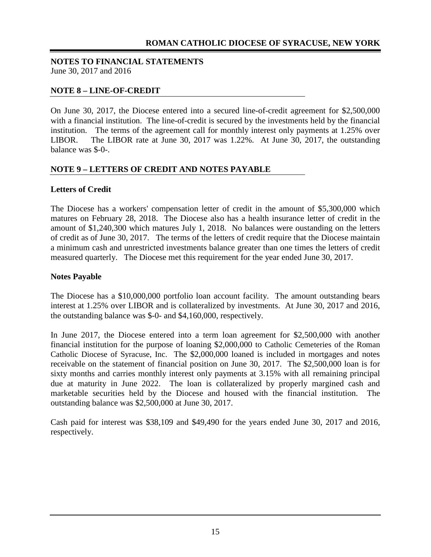## **NOTE 8 – LINE-OF-CREDIT**

On June 30, 2017, the Diocese entered into a secured line-of-credit agreement for \$2,500,000 with a financial institution. The line-of-credit is secured by the investments held by the financial institution. The terms of the agreement call for monthly interest only payments at 1.25% over LIBOR. The LIBOR rate at June 30, 2017 was 1.22%. At June 30, 2017, the outstanding balance was \$-0-.

## **NOTE 9 – LETTERS OF CREDIT AND NOTES PAYABLE**

## **Letters of Credit**

The Diocese has a workers' compensation letter of credit in the amount of \$5,300,000 which matures on February 28, 2018. The Diocese also has a health insurance letter of credit in the amount of \$1,240,300 which matures July 1, 2018. No balances were oustanding on the letters of credit as of June 30, 2017. The terms of the letters of credit require that the Diocese maintain a minimum cash and unrestricted investments balance greater than one times the letters of credit measured quarterly. The Diocese met this requirement for the year ended June 30, 2017.

## **Notes Payable**

The Diocese has a \$10,000,000 portfolio loan account facility. The amount outstanding bears interest at 1.25% over LIBOR and is collateralized by investments. At June 30, 2017 and 2016, the outstanding balance was \$-0- and \$4,160,000, respectively.

In June 2017, the Diocese entered into a term loan agreement for \$2,500,000 with another financial institution for the purpose of loaning \$2,000,000 to Catholic Cemeteries of the Roman Catholic Diocese of Syracuse, Inc. The \$2,000,000 loaned is included in mortgages and notes receivable on the statement of financial position on June 30, 2017. The \$2,500,000 loan is for sixty months and carries monthly interest only payments at 3.15% with all remaining principal due at maturity in June 2022. The loan is collateralized by properly margined cash and marketable securities held by the Diocese and housed with the financial institution. The outstanding balance was \$2,500,000 at June 30, 2017.

Cash paid for interest was \$38,109 and \$49,490 for the years ended June 30, 2017 and 2016, respectively.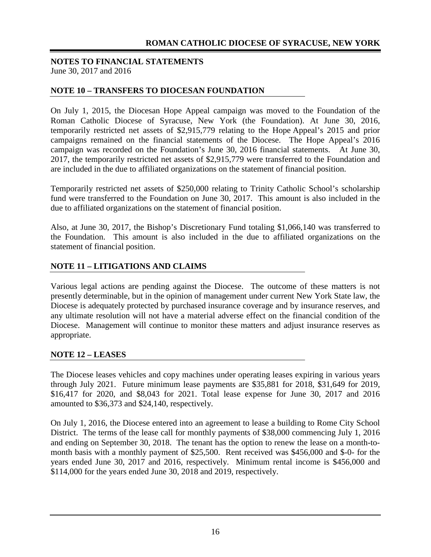## **NOTE 10 – TRANSFERS TO DIOCESAN FOUNDATION**

On July 1, 2015, the Diocesan Hope Appeal campaign was moved to the Foundation of the Roman Catholic Diocese of Syracuse, New York (the Foundation). At June 30, 2016, temporarily restricted net assets of \$2,915,779 relating to the Hope Appeal's 2015 and prior campaigns remained on the financial statements of the Diocese. The Hope Appeal's 2016 campaign was recorded on the Foundation's June 30, 2016 financial statements. At June 30, 2017, the temporarily restricted net assets of \$2,915,779 were transferred to the Foundation and are included in the due to affiliated organizations on the statement of financial position.

Temporarily restricted net assets of \$250,000 relating to Trinity Catholic School's scholarship fund were transferred to the Foundation on June 30, 2017. This amount is also included in the due to affiliated organizations on the statement of financial position.

Also, at June 30, 2017, the Bishop's Discretionary Fund totaling \$1,066,140 was transferred to the Foundation. This amount is also included in the due to affiliated organizations on the statement of financial position.

## **NOTE 11 – LITIGATIONS AND CLAIMS**

Various legal actions are pending against the Diocese. The outcome of these matters is not presently determinable, but in the opinion of management under current New York State law, the Diocese is adequately protected by purchased insurance coverage and by insurance reserves, and any ultimate resolution will not have a material adverse effect on the financial condition of the Diocese. Management will continue to monitor these matters and adjust insurance reserves as appropriate.

## **NOTE 12 – LEASES**

The Diocese leases vehicles and copy machines under operating leases expiring in various years through July 2021. Future minimum lease payments are \$35,881 for 2018, \$31,649 for 2019, \$16,417 for 2020, and \$8,043 for 2021. Total lease expense for June 30, 2017 and 2016 amounted to \$36,373 and \$24,140, respectively.

On July 1, 2016, the Diocese entered into an agreement to lease a building to Rome City School District. The terms of the lease call for monthly payments of \$38,000 commencing July 1, 2016 and ending on September 30, 2018. The tenant has the option to renew the lease on a month-tomonth basis with a monthly payment of \$25,500. Rent received was \$456,000 and \$-0- for the years ended June 30, 2017 and 2016, respectively. Minimum rental income is \$456,000 and \$114,000 for the years ended June 30, 2018 and 2019, respectively.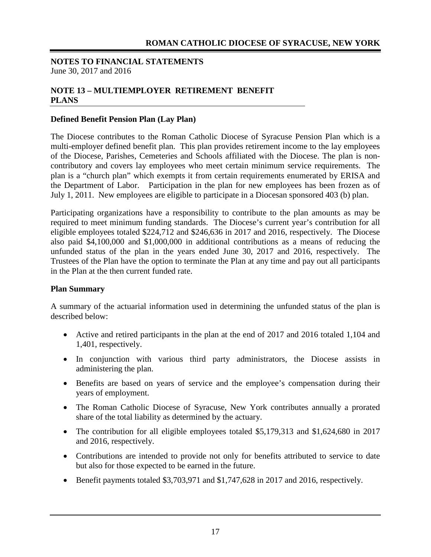## **NOTE 13 – MULTIEMPLOYER RETIREMENT BENEFIT PLANS**

## **Defined Benefit Pension Plan (Lay Plan)**

The Diocese contributes to the Roman Catholic Diocese of Syracuse Pension Plan which is a multi-employer defined benefit plan. This plan provides retirement income to the lay employees of the Diocese, Parishes, Cemeteries and Schools affiliated with the Diocese. The plan is noncontributory and covers lay employees who meet certain minimum service requirements. The plan is a "church plan" which exempts it from certain requirements enumerated by ERISA and the Department of Labor. Participation in the plan for new employees has been frozen as of July 1, 2011. New employees are eligible to participate in a Diocesan sponsored 403 (b) plan.

Participating organizations have a responsibility to contribute to the plan amounts as may be required to meet minimum funding standards. The Diocese's current year's contribution for all eligible employees totaled \$224,712 and \$246,636 in 2017 and 2016, respectively. The Diocese also paid \$4,100,000 and \$1,000,000 in additional contributions as a means of reducing the unfunded status of the plan in the years ended June 30, 2017 and 2016, respectively. The Trustees of the Plan have the option to terminate the Plan at any time and pay out all participants in the Plan at the then current funded rate.

## **Plan Summary**

A summary of the actuarial information used in determining the unfunded status of the plan is described below:

- Active and retired participants in the plan at the end of 2017 and 2016 totaled 1,104 and 1,401, respectively.
- In conjunction with various third party administrators, the Diocese assists in administering the plan.
- Benefits are based on years of service and the employee's compensation during their years of employment.
- The Roman Catholic Diocese of Syracuse, New York contributes annually a prorated share of the total liability as determined by the actuary.
- The contribution for all eligible employees totaled \$5,179,313 and \$1,624,680 in 2017 and 2016, respectively.
- Contributions are intended to provide not only for benefits attributed to service to date but also for those expected to be earned in the future.
- Benefit payments totaled \$3,703,971 and \$1,747,628 in 2017 and 2016, respectively.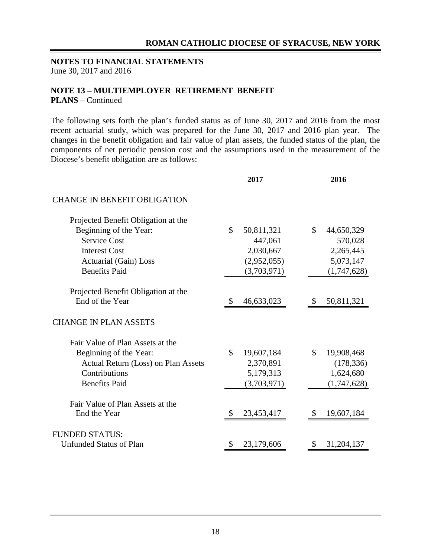## **NOTE 13 – MULTIEMPLOYER RETIREMENT BENEFIT PLANS** – Continued

The following sets forth the plan's funded status as of June 30, 2017 and 2016 from the most recent actuarial study, which was prepared for the June 30, 2017 and 2016 plan year. The changes in the benefit obligation and fair value of plan assets, the funded status of the plan, the components of net periodic pension cost and the assumptions used in the measurement of the Diocese's benefit obligation are as follows:

|                                     | 2017                       | 2016             |
|-------------------------------------|----------------------------|------------------|
| <b>CHANGE IN BENEFIT OBLIGATION</b> |                            |                  |
| Projected Benefit Obligation at the |                            |                  |
| Beginning of the Year:              | $\mathbb{S}$<br>50,811,321 | \$<br>44,650,329 |
| <b>Service Cost</b>                 | 447,061                    | 570,028          |
| <b>Interest Cost</b>                | 2,030,667                  | 2,265,445        |
| Actuarial (Gain) Loss               | (2,952,055)                | 5,073,147        |
| <b>Benefits Paid</b>                | (3,703,971)                | (1,747,628)      |
| Projected Benefit Obligation at the |                            |                  |
| End of the Year                     | 46,633,023<br>\$           | 50,811,321<br>\$ |
| <b>CHANGE IN PLAN ASSETS</b>        |                            |                  |
| Fair Value of Plan Assets at the    |                            |                  |
| Beginning of the Year:              | \$<br>19,607,184           | \$<br>19,908,468 |
| Actual Return (Loss) on Plan Assets | 2,370,891                  | (178, 336)       |
| Contributions                       | 5,179,313                  | 1,624,680        |
| <b>Benefits Paid</b>                | (3,703,971)                | (1,747,628)      |
| Fair Value of Plan Assets at the    |                            |                  |
| End the Year                        | \$<br>23,453,417           | 19,607,184<br>S  |
| <b>FUNDED STATUS:</b>               |                            |                  |
| <b>Unfunded Status of Plan</b>      | \$<br>23,179,606           | 31,204,137<br>\$ |
|                                     |                            |                  |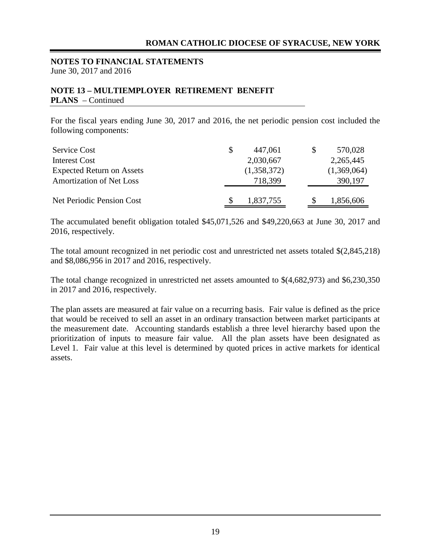## **NOTE 13 – MULTIEMPLOYER RETIREMENT BENEFIT PLANS** – Continued

For the fiscal years ending June 30, 2017 and 2016, the net periodic pension cost included the following components:

| <b>Service Cost</b>              | \$<br>447,061 |  | 570,028     |
|----------------------------------|---------------|--|-------------|
| <b>Interest Cost</b>             | 2,030,667     |  | 2,265,445   |
| <b>Expected Return on Assets</b> | (1,358,372)   |  | (1,369,064) |
| <b>Amortization of Net Loss</b>  | 718,399       |  | 390,197     |
|                                  |               |  |             |
| Net Periodic Pension Cost        | 1,837,755     |  | 1,856,606   |

The accumulated benefit obligation totaled \$45,071,526 and \$49,220,663 at June 30, 2017 and 2016, respectively.

The total amount recognized in net periodic cost and unrestricted net assets totaled \$(2,845,218) and \$8,086,956 in 2017 and 2016, respectively.

The total change recognized in unrestricted net assets amounted to \$(4,682,973) and \$6,230,350 in 2017 and 2016, respectively.

The plan assets are measured at fair value on a recurring basis. Fair value is defined as the price that would be received to sell an asset in an ordinary transaction between market participants at the measurement date. Accounting standards establish a three level hierarchy based upon the prioritization of inputs to measure fair value. All the plan assets have been designated as Level 1. Fair value at this level is determined by quoted prices in active markets for identical assets.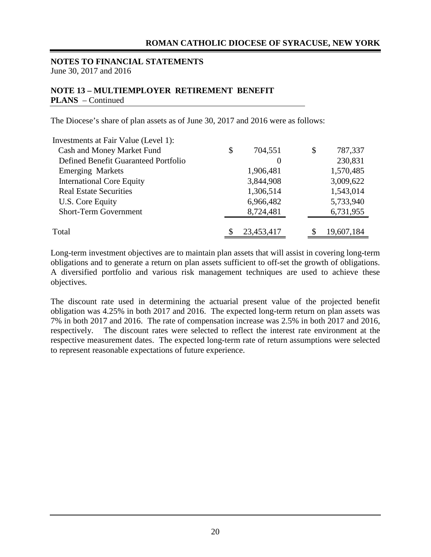#### **NOTES TO FINANCIAL STATEMENTS** June 30, 2017 and 2016

## **NOTE 13 – MULTIEMPLOYER RETIREMENT BENEFIT PLANS** – Continued

The Diocese's share of plan assets as of June 30, 2017 and 2016 were as follows:

| Investments at Fair Value (Level 1): |                  |    |            |
|--------------------------------------|------------------|----|------------|
| Cash and Money Market Fund           | \$<br>704,551    | \$ | 787,337    |
| Defined Benefit Guaranteed Portfolio | $\theta$         |    | 230,831    |
| <b>Emerging Markets</b>              | 1,906,481        |    | 1,570,485  |
| <b>International Core Equity</b>     | 3,844,908        |    | 3,009,622  |
| <b>Real Estate Securities</b>        | 1,306,514        |    | 1,543,014  |
| U.S. Core Equity                     | 6,966,482        |    | 5,733,940  |
| <b>Short-Term Government</b>         | 8,724,481        |    | 6,731,955  |
|                                      |                  |    |            |
| Total                                | \$<br>23,453,417 |    | 19,607,184 |

Long-term investment objectives are to maintain plan assets that will assist in covering long-term obligations and to generate a return on plan assets sufficient to off-set the growth of obligations. A diversified portfolio and various risk management techniques are used to achieve these objectives.

The discount rate used in determining the actuarial present value of the projected benefit obligation was 4.25% in both 2017 and 2016. The expected long-term return on plan assets was 7% in both 2017 and 2016. The rate of compensation increase was 2.5% in both 2017 and 2016, respectively. The discount rates were selected to reflect the interest rate environment at the respective measurement dates. The expected long-term rate of return assumptions were selected to represent reasonable expectations of future experience.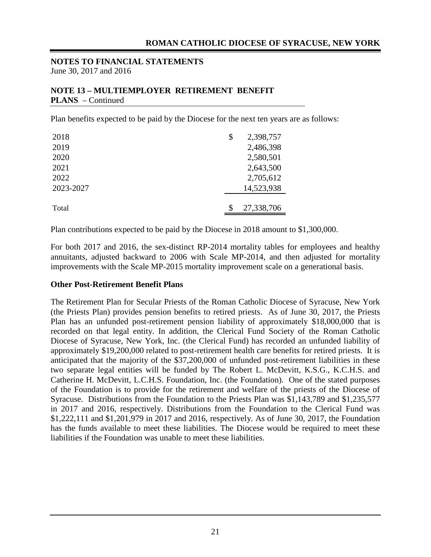## **NOTE 13 – MULTIEMPLOYER RETIREMENT BENEFIT PLANS** – Continued

Plan benefits expected to be paid by the Diocese for the next ten years are as follows:

| 2018      | \$<br>2,398,757 |
|-----------|-----------------|
| 2019      | 2,486,398       |
| 2020      | 2,580,501       |
| 2021      | 2,643,500       |
| 2022      | 2,705,612       |
| 2023-2027 | 14,523,938      |
|           |                 |
| Total     | 27,338,706      |

Plan contributions expected to be paid by the Diocese in 2018 amount to \$1,300,000.

For both 2017 and 2016, the sex-distinct RP-2014 mortality tables for employees and healthy annuitants, adjusted backward to 2006 with Scale MP-2014, and then adjusted for mortality improvements with the Scale MP-2015 mortality improvement scale on a generational basis.

## **Other Post-Retirement Benefit Plans**

The Retirement Plan for Secular Priests of the Roman Catholic Diocese of Syracuse, New York (the Priests Plan) provides pension benefits to retired priests. As of June 30, 2017, the Priests Plan has an unfunded post-retirement pension liability of approximately \$18,000,000 that is recorded on that legal entity. In addition, the Clerical Fund Society of the Roman Catholic Diocese of Syracuse, New York, Inc. (the Clerical Fund) has recorded an unfunded liability of approximately \$19,200,000 related to post-retirement health care benefits for retired priests. It is anticipated that the majority of the \$37,200,000 of unfunded post-retirement liabilities in these two separate legal entities will be funded by The Robert L. McDevitt, K.S.G., K.C.H.S. and Catherine H. McDevitt, L.C.H.S. Foundation, Inc. (the Foundation). One of the stated purposes of the Foundation is to provide for the retirement and welfare of the priests of the Diocese of Syracuse. Distributions from the Foundation to the Priests Plan was \$1,143,789 and \$1,235,577 in 2017 and 2016, respectively. Distributions from the Foundation to the Clerical Fund was \$1,222,111 and \$1,201,979 in 2017 and 2016, respectively. As of June 30, 2017, the Foundation has the funds available to meet these liabilities. The Diocese would be required to meet these liabilities if the Foundation was unable to meet these liabilities.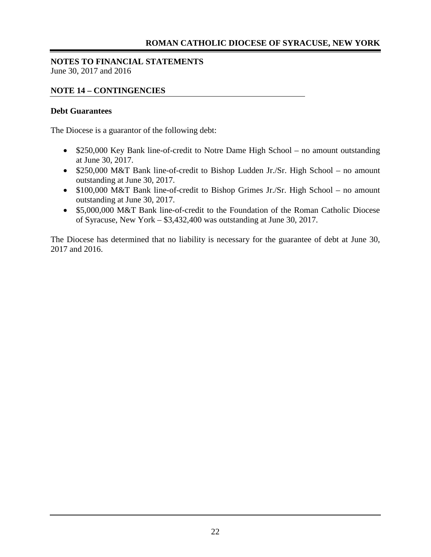## **NOTES TO FINANCIAL STATEMENTS** June 30, 2017 and 2016

## **NOTE 14 – CONTINGENCIES**

#### **Debt Guarantees**

The Diocese is a guarantor of the following debt:

- \$250,000 Key Bank line-of-credit to Notre Dame High School no amount outstanding at June 30, 2017.
- \$250,000 M&T Bank line-of-credit to Bishop Ludden Jr./Sr. High School no amount outstanding at June 30, 2017.
- \$100,000 M&T Bank line-of-credit to Bishop Grimes Jr./Sr. High School no amount outstanding at June 30, 2017.
- \$5,000,000 M&T Bank line-of-credit to the Foundation of the Roman Catholic Diocese of Syracuse, New York – \$3,432,400 was outstanding at June 30, 2017.

The Diocese has determined that no liability is necessary for the guarantee of debt at June 30, 2017 and 2016.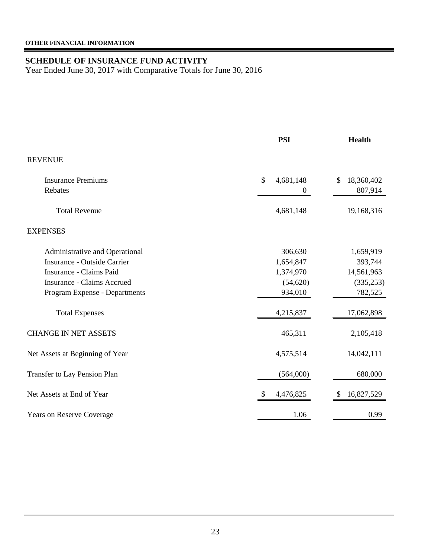## **SCHEDULE OF INSURANCE FUND ACTIVITY**

Year Ended June 30, 2017 with Comparative Totals for June 30, 2016

|                                     | <b>PSI</b>                 | <b>Health</b>    |  |  |
|-------------------------------------|----------------------------|------------------|--|--|
| <b>REVENUE</b>                      |                            |                  |  |  |
| <b>Insurance Premiums</b>           | $\mathcal{S}$<br>4,681,148 | 18,360,402<br>\$ |  |  |
| Rebates                             | $\mathbf{0}$               | 807,914          |  |  |
| <b>Total Revenue</b>                | 4,681,148                  | 19,168,316       |  |  |
| <b>EXPENSES</b>                     |                            |                  |  |  |
| Administrative and Operational      | 306,630                    | 1,659,919        |  |  |
| <b>Insurance - Outside Carrier</b>  | 1,654,847                  | 393,744          |  |  |
| <b>Insurance - Claims Paid</b>      | 1,374,970                  | 14,561,963       |  |  |
| <b>Insurance - Claims Accrued</b>   | (54, 620)                  | (335, 253)       |  |  |
| Program Expense - Departments       | 934,010                    | 782,525          |  |  |
| <b>Total Expenses</b>               | 4,215,837                  | 17,062,898       |  |  |
| <b>CHANGE IN NET ASSETS</b>         | 465,311                    | 2,105,418        |  |  |
| Net Assets at Beginning of Year     | 4,575,514                  | 14,042,111       |  |  |
| <b>Transfer to Lay Pension Plan</b> | (564,000)                  | 680,000          |  |  |
| Net Assets at End of Year           | 4,476,825                  | 16,827,529       |  |  |
| <b>Years on Reserve Coverage</b>    | 1.06                       | 0.99             |  |  |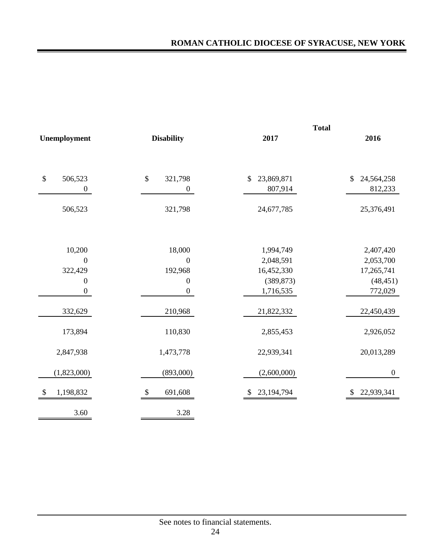|                  |                   |                  | <b>Total</b>               |
|------------------|-------------------|------------------|----------------------------|
| Unemployment     | <b>Disability</b> | 2017             | 2016                       |
|                  |                   |                  |                            |
| $\$$<br>506,523  | \$<br>321,798     | 23,869,871<br>\$ | 24,564,258<br>$\mathbb{S}$ |
| $\boldsymbol{0}$ | $\boldsymbol{0}$  | 807,914          | 812,233                    |
| 506,523          | 321,798           | 24,677,785       | 25,376,491                 |
|                  |                   |                  |                            |
| 10,200           | 18,000            | 1,994,749        | 2,407,420                  |
| $\mathbf{0}$     | $\mathbf{0}$      | 2,048,591        | 2,053,700                  |
| 322,429          | 192,968           | 16,452,330       | 17,265,741                 |
| $\boldsymbol{0}$ | $\boldsymbol{0}$  | (389, 873)       | (48, 451)                  |
| $\boldsymbol{0}$ | $\boldsymbol{0}$  | 1,716,535        | 772,029                    |
| 332,629          | 210,968           | 21,822,332       | 22,450,439                 |
| 173,894          | 110,830           | 2,855,453        | 2,926,052                  |
| 2,847,938        | 1,473,778         | 22,939,341       | 20,013,289                 |
| (1,823,000)      | (893,000)         | (2,600,000)      | $\boldsymbol{0}$           |
| 1,198,832<br>\$  | 691,608<br>\$     | 23, 194, 794     | 22,939,341                 |
| 3.60             | 3.28              |                  |                            |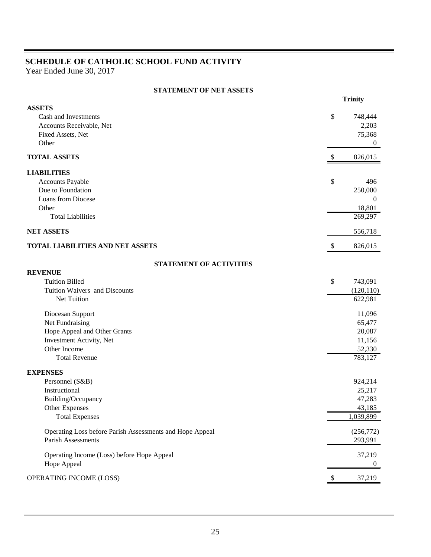## **SCHEDULE OF CATHOLIC SCHOOL FUND ACTIVITY**

Year Ended June 30, 2017

|  |  | <b>STATEMENT OF NET ASSETS</b> |  |
|--|--|--------------------------------|--|
|  |  |                                |  |

|                                                          | <b>Trinity</b>      |
|----------------------------------------------------------|---------------------|
| <b>ASSETS</b><br>Cash and Investments                    | \$<br>748,444       |
| Accounts Receivable, Net                                 | 2,203               |
| Fixed Assets, Net                                        | 75,368              |
| Other                                                    | $\overline{0}$      |
| <b>TOTAL ASSETS</b>                                      | \$<br>826,015       |
| <b>LIABILITIES</b>                                       |                     |
| <b>Accounts Payable</b>                                  | \$<br>496           |
| Due to Foundation                                        | 250,000             |
| <b>Loans from Diocese</b>                                | $\boldsymbol{0}$    |
| Other                                                    | 18,801              |
| <b>Total Liabilities</b>                                 | 269,297             |
| <b>NET ASSETS</b>                                        | 556,718             |
| TOTAL LIABILITIES AND NET ASSETS                         | \$<br>826,015       |
| <b>STATEMENT OF ACTIVITIES</b>                           |                     |
| <b>REVENUE</b>                                           |                     |
| <b>Tuition Billed</b>                                    | \$<br>743,091       |
| Tuition Waivers and Discounts                            | (120, 110)          |
| Net Tuition                                              | 622,981             |
| Diocesan Support                                         | 11,096              |
| Net Fundraising                                          | 65,477              |
| Hope Appeal and Other Grants                             | 20,087              |
| Investment Activity, Net                                 | 11,156              |
| Other Income                                             | 52,330              |
| <b>Total Revenue</b>                                     | 783,127             |
| <b>EXPENSES</b>                                          |                     |
| Personnel (S&B)                                          | 924,214             |
| Instructional                                            | 25,217              |
| Building/Occupancy                                       | 47,283              |
| Other Expenses<br><b>Total Expenses</b>                  | 43.185<br>1,039,899 |
|                                                          |                     |
| Operating Loss before Parish Assessments and Hope Appeal | (256,772)           |
| Parish Assessments                                       | 293,991             |
| Operating Income (Loss) before Hope Appeal               | 37,219              |
| Hope Appeal                                              | $\overline{0}$      |
| OPERATING INCOME (LOSS)                                  | 37,219              |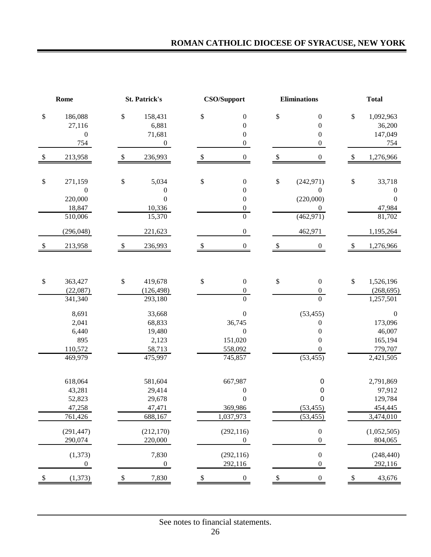|        | Rome                                                 |        | <b>St. Patrick's</b>                                     |                           | <b>CSO/Support</b>                                                              | <b>Eliminations</b> |                                                                                                |                           | <b>Total</b>                                                             |
|--------|------------------------------------------------------|--------|----------------------------------------------------------|---------------------------|---------------------------------------------------------------------------------|---------------------|------------------------------------------------------------------------------------------------|---------------------------|--------------------------------------------------------------------------|
| \$     | 186,088<br>27,116<br>$\boldsymbol{0}$<br>754         | $\$$   | 158,431<br>6,881<br>71,681<br>$\boldsymbol{0}$           | $\$$                      | $\boldsymbol{0}$<br>$\boldsymbol{0}$<br>$\boldsymbol{0}$<br>$\boldsymbol{0}$    | \$                  | $\boldsymbol{0}$<br>$\boldsymbol{0}$<br>$\boldsymbol{0}$<br>$\boldsymbol{0}$                   | \$                        | 1,092,963<br>36,200<br>147,049<br>754                                    |
| \$     | 213,958                                              | \$     | 236,993                                                  | \$                        | $\boldsymbol{0}$                                                                | \$                  | $\boldsymbol{0}$                                                                               | \$                        | 1,276,966                                                                |
| \$     | 271,159<br>$\boldsymbol{0}$<br>220,000<br>18,847     | $\$$   | 5,034<br>$\boldsymbol{0}$<br>$\boldsymbol{0}$<br>10,336  | $\mathbb{S}$              | $\boldsymbol{0}$<br>$\boldsymbol{0}$<br>$\boldsymbol{0}$<br>$\boldsymbol{0}$    | \$                  | (242, 971)<br>$\boldsymbol{0}$<br>(220,000)<br>$\boldsymbol{0}$                                | \$                        | 33,718<br>$\boldsymbol{0}$<br>$\overline{0}$<br>47,984                   |
|        | 510,006<br>(296, 048)                                |        | 15,370<br>221,623                                        |                           | $\overline{0}$<br>$\boldsymbol{0}$                                              |                     | (462, 971)<br>462,971                                                                          |                           | 81,702<br>1,195,264                                                      |
| $\$\,$ | 213,958                                              | $\$\,$ | 236,993                                                  | $\boldsymbol{\mathsf{S}}$ | $\boldsymbol{0}$                                                                | $\mathcal{L}$       | $\boldsymbol{0}$                                                                               | $\boldsymbol{\mathsf{S}}$ | 1,276,966                                                                |
| \$     | 363,427<br>(22,087)<br>341,340                       | \$     | 419,678<br>(126, 498)<br>293,180                         | \$                        | $\boldsymbol{0}$<br>$\boldsymbol{0}$<br>$\overline{0}$                          | \$                  | $\boldsymbol{0}$<br>$\boldsymbol{0}$<br>$\overline{0}$                                         | \$                        | 1,526,196<br>(268, 695)<br>1,257,501                                     |
|        | 8,691<br>2,041<br>6,440<br>895<br>110,572<br>469,979 |        | 33,668<br>68,833<br>19,480<br>2,123<br>58,713<br>475,997 |                           | $\boldsymbol{0}$<br>36,745<br>$\boldsymbol{0}$<br>151,020<br>558,092<br>745,857 |                     | (53, 455)<br>$\boldsymbol{0}$<br>$\boldsymbol{0}$<br>$\boldsymbol{0}$<br>$\theta$<br>(53, 455) |                           | $\boldsymbol{0}$<br>173,096<br>46,007<br>165,194<br>779,707<br>2,421,505 |
|        | 618,064<br>43,281<br>52,823<br>47,258<br>761,426     |        | 581,604<br>29,414<br>29,678<br>47,471<br>688,167         |                           | 667,987<br>$\boldsymbol{0}$<br>$\boldsymbol{0}$<br>369,986<br>1,037,973         |                     | 0<br>0<br>0<br>(53, 455)<br>(53, 455)                                                          |                           | 2,791,869<br>97,912<br>129,784<br>454,445<br>3,474,010                   |
|        | (291, 447)<br>290,074                                |        | (212, 170)<br>220,000                                    |                           | (292, 116)<br>$\boldsymbol{0}$                                                  |                     | $\boldsymbol{0}$<br>$\boldsymbol{0}$                                                           |                           | (1,052,505)<br>804,065                                                   |
|        | (1,373)<br>$\boldsymbol{0}$                          |        | 7,830<br>$\boldsymbol{0}$                                |                           | (292, 116)<br>292,116                                                           |                     | $\boldsymbol{0}$<br>$\boldsymbol{0}$                                                           |                           | (248, 440)<br>292,116                                                    |
|        | (1, 373)                                             |        | 7,830                                                    |                           | 0                                                                               |                     | 0                                                                                              |                           | 43,676                                                                   |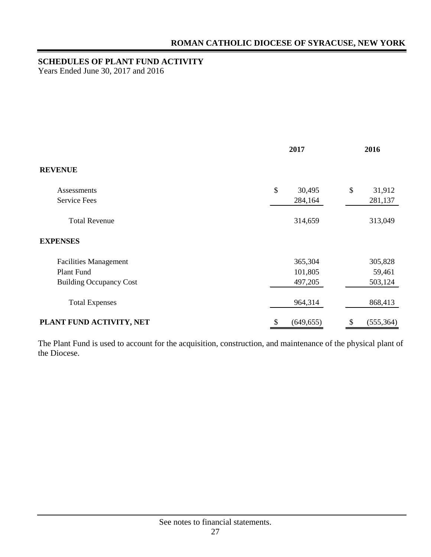# **SCHEDULES OF PLANT FUND ACTIVITY**

Years Ended June 30, 2017 and 2016

|                                | 2017             | 2016             |
|--------------------------------|------------------|------------------|
| <b>REVENUE</b>                 |                  |                  |
| Assessments                    | \$<br>30,495     | \$<br>31,912     |
| <b>Service Fees</b>            | 284,164          | 281,137          |
| <b>Total Revenue</b>           | 314,659          | 313,049          |
| <b>EXPENSES</b>                |                  |                  |
| <b>Facilities Management</b>   | 365,304          | 305,828          |
| <b>Plant Fund</b>              | 101,805          | 59,461           |
| <b>Building Occupancy Cost</b> | 497,205          | 503,124          |
| <b>Total Expenses</b>          | 964,314          | 868,413          |
| PLANT FUND ACTIVITY, NET       | (649, 655)<br>\$ | (555, 364)<br>\$ |

The Plant Fund is used to account for the acquisition, construction, and maintenance of the physical plant of the Diocese.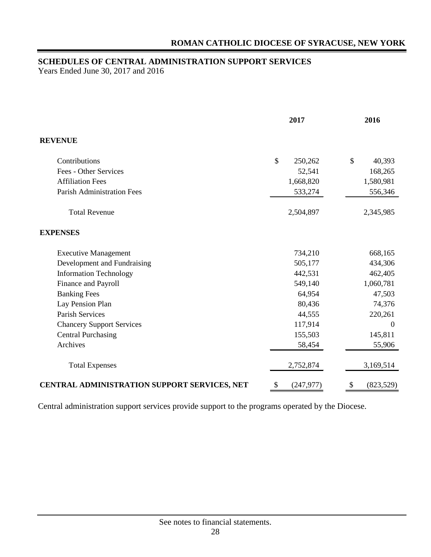## **SCHEDULES OF CENTRAL ADMINISTRATION SUPPORT SERVICES**

Years Ended June 30, 2017 and 2016

|                                              | 2017                     | 2016             |
|----------------------------------------------|--------------------------|------------------|
| <b>REVENUE</b>                               |                          |                  |
| Contributions                                | $\mathsf{\$}$<br>250,262 | \$<br>40,393     |
| Fees - Other Services                        | 52,541                   | 168,265          |
| <b>Affiliation Fees</b>                      | 1,668,820                | 1,580,981        |
| <b>Parish Administration Fees</b>            | 533,274                  | 556,346          |
| <b>Total Revenue</b>                         | 2,504,897                | 2,345,985        |
| <b>EXPENSES</b>                              |                          |                  |
| <b>Executive Management</b>                  | 734,210                  | 668,165          |
| Development and Fundraising                  | 505,177                  | 434,306          |
| <b>Information Technology</b>                | 442,531                  | 462,405          |
| Finance and Payroll                          | 549,140                  | 1,060,781        |
| <b>Banking Fees</b>                          | 64,954                   | 47,503           |
| Lay Pension Plan                             | 80,436                   | 74,376           |
| <b>Parish Services</b>                       | 44,555                   | 220,261          |
| <b>Chancery Support Services</b>             | 117,914                  | $\theta$         |
| <b>Central Purchasing</b>                    | 155,503                  | 145,811          |
| Archives                                     | 58,454                   | 55,906           |
| <b>Total Expenses</b>                        | 2,752,874                | 3,169,514        |
| CENTRAL ADMINISTRATION SUPPORT SERVICES, NET | \$<br>(247, 977)         | (823, 529)<br>\$ |

Central administration support services provide support to the programs operated by the Diocese.